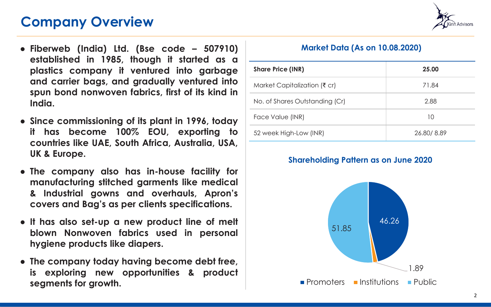









## **Corporate Presentation Q1 FY21**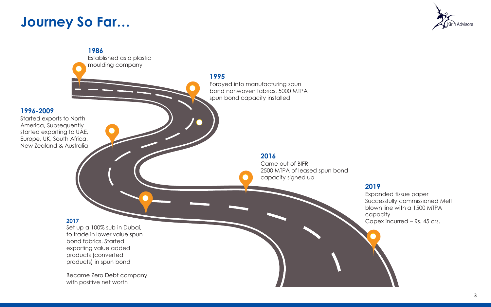## **Company Overview**



- **Fiberweb (India) Ltd. (Bse code – 507910) established in 1985, though it started as a plastics company it ventured into garbage and carrier bags, and gradually ventured into spun bond nonwoven fabrics, first of its kind in India.**
- **Since commissioning of its plant in 1996, today it has become 100% EOU, exporting to countries like UAE, South Africa, Australia, USA, UK & Europe.**
- **The company also has in-house facility for manufacturing stitched garments like medical & Industrial gowns and overhauls, Apron's covers and Bag's as per clients specifications.**
- **It has also set-up a new product line of melt blown Nonwoven fabrics used in personal hygiene products like diapers.**
- **The company today having become debt free, is exploring new opportunities & product segments for growth.**

## **Market Data (As on 10.08.2020)**

| <b>Share Price (INR)</b>                 | 25.00      |
|------------------------------------------|------------|
| Market Capitalization ( $\bar{\tau}$ cr) | 71.84      |
| No. of Shares Outstanding (Cr)           | 2.88       |
| Face Value (INR)                         | 10         |
| 52 week High-Low (INR)                   | 26.80/8.89 |

### **Shareholding Pattern as on June 2020**

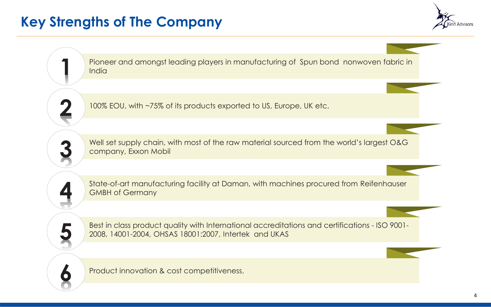## **Journey So Far…**



#### **1986**

Established as a plastic moulding company

**1996-2009** Started exports to North America, Subsequently started exporting to UAE, Europe, UK, South Africa, New Zealand & Australia **1995**

Forayed into manufacturing spun bond nonwoven fabrics, 5000 MTPA spun bond capacity installed

#### **2016**

Came out of BIFR 2500 MTPA of leased spun bond capacity signed up

#### **2019**

Expanded tissue paper Successfully commissioned Melt blown line with a 1500 MTPA capacity Capex incurred – Rs. 45 crs.

#### **2017**

Set up a 100% sub in Dubai, to trade in lower value spun bond fabrics. Started exporting value added products (converted products) in spun bond

Became Zero Debt company with positive net worth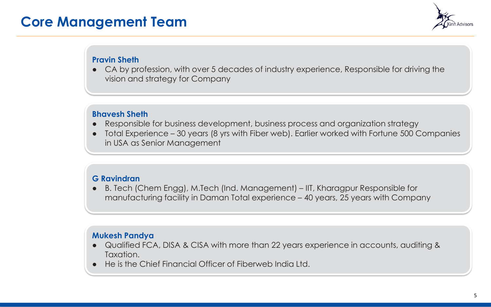## **Key Strengths of The Company**



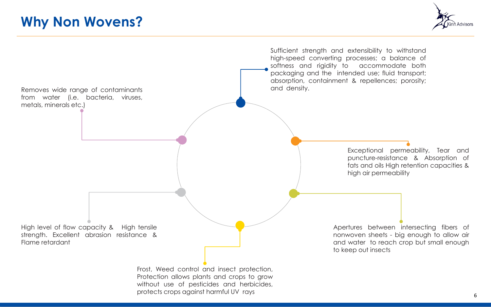## **Core Management Team**



#### **Pravin Sheth**

● CA by profession, with over 5 decades of industry experience, Responsible for driving the vision and strategy for Company

#### **Bhavesh Sheth**

- Responsible for business development, business process and organization strategy
- Total Experience 30 years (8 yrs with Fiber web). Earlier worked with Fortune 500 Companies in USA as Senior Management

#### **G Ravindran**

● B. Tech (Chem Engg), M.Tech (Ind. Management) – IIT, Kharagpur Responsible for manufacturing facility in Daman Total experience – 40 years, 25 years with Company

#### **Mukesh Pandya**

- Qualified FCA, DISA & CISA with more than 22 years experience in accounts, auditing & Taxation.
- He is the Chief Financial Officer of Fiberweb India Ltd.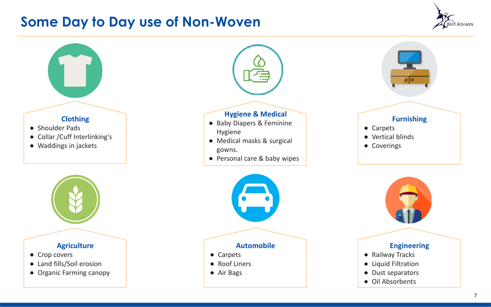

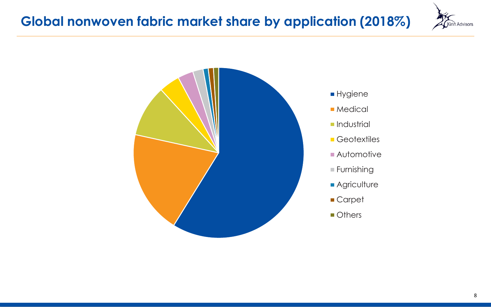## **Some Day to Day use of Non-Woven**



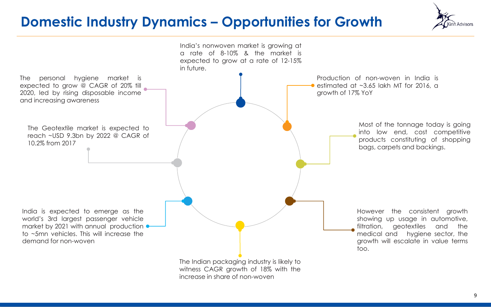



- **Hygiene**
- **Medical**
- **Industrial**
- **Geotextiles**
- Automotive
- Furnishing
- **Agriculture**
- Carpet
- **Others**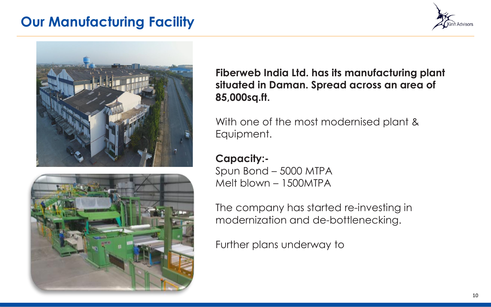## **Domestic Industry Dynamics – Opportunities for Growth**



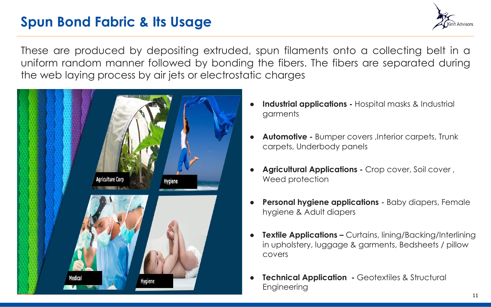## **Our Manufacturing Facility**







**Fiberweb India Ltd. has its manufacturing plant situated in Daman. Spread across an area of 85,000sq.ft.**

With one of the most modernised plant & Equipment.

**Capacity:-** Spun Bond – 5000 MTPA Melt blown – 1500MTPA

The company has started re-investing in modernization and de-bottlenecking.

Further plans underway to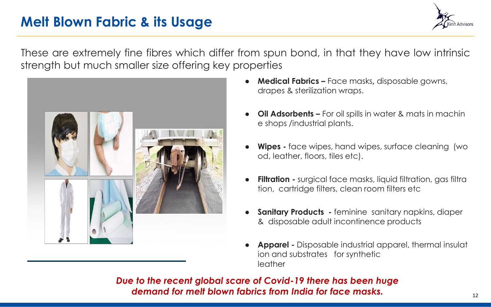## **Spun Bond Fabric & Its Usage**



These are produced by depositing extruded, spun filaments onto a collecting belt in a uniform random manner followed by bonding the fibers. The fibers are separated during the web laying process by air jets or electrostatic charges



- **Industrial applications -** Hospital masks & Industrial garments
- **Automotive -** Bumper covers , Interior carpets, Trunk carpets, Underbody panels
- **Agricultural Applications -** Crop cover, Soil cover, Weed protection
- **Personal hygiene applications -** Baby diapers, Female hygiene & Adult diapers
- **Textile Applications –** Curtains, lining/Backing/Interlining in upholstery, luggage & garments, Bedsheets / pillow covers
- **Technical Application Geotextiles & Structural Engineering**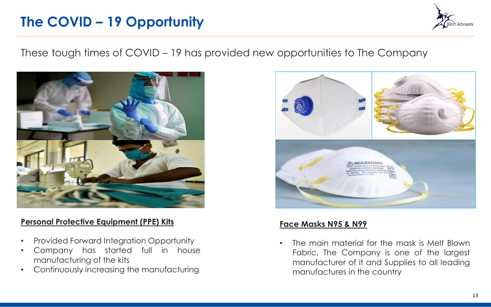## **Melt Blown Fabric & its Usage**



These are extremely fine fibres which differ from spun bond, in that they have low intrinsic strength but much smaller size offering key properties



- **Medical Fabrics –** Face masks**,** disposable gowns, drapes & sterilization wraps.
- **Oil Adsorbents –** For oil spills in water & mats in machin e shops /industrial plants.
- **Wipes -** face wipes, hand wipes, surface cleaning (wo od, leather, floors, tiles etc).
- **Filtration -** surgical face masks, liquid filtration, gas filtra tion, cartridge filters, clean room filters etc
- **Sanitary Products -** feminine sanitary napkins, diaper & disposable adult incontinence products
- **Apparel -** Disposable industrial apparel, thermal insulat ion and substrates for synthetic leather

*Due to the recent global scare of Covid-19 there has been huge demand for melt blown fabrics from India for face masks.*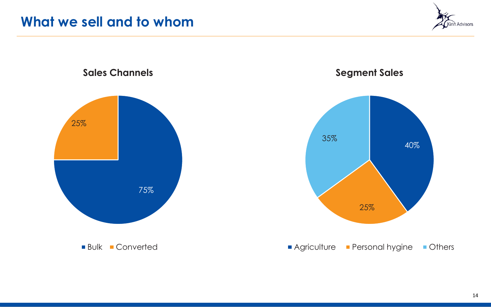## **The COVID – 19 Opportunity**



These tough times of COVID – 19 has provided new opportunities to The Company



### **Personal Protective Equipment (PPE) Kits**

- Provided Forward Integration Opportunity
- Company has started full in house manufacturing of the kits
- Continuously increasing the manufacturing



### **Face Masks N95 & N99**

• The main material for the mask is Melt Blown Fabric, The Company is one of the largest manufacturer of it and Supplies to all leading manufactures in the country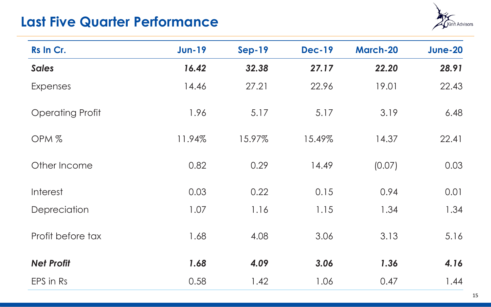

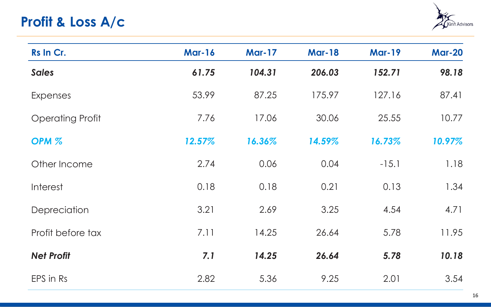## **Last Five Quarter Performance**



| Rs In Cr.               | <b>Jun-19</b> | <b>Sep-19</b> | <b>Dec-19</b> | <b>March-20</b> | <b>June-20</b> |
|-------------------------|---------------|---------------|---------------|-----------------|----------------|
| <b>Sales</b>            | 16.42         | 32.38         | 27.17         | 22.20           | 28.91          |
| <b>Expenses</b>         | 14.46         | 27.21         | 22.96         | 19.01           | 22.43          |
| <b>Operating Profit</b> | 1.96          | 5.17          | 5.17          | 3.19            | 6.48           |
| OPM <sub>%</sub>        | 11.94%        | 15.97%        | 15.49%        | 14.37           | 22.41          |
| Other Income            | 0.82          | 0.29          | 14.49         | (0.07)          | 0.03           |
| Interest                | 0.03          | 0.22          | 0.15          | 0.94            | 0.01           |
| Depreciation            | 1.07          | 1.16          | 1.15          | 1.34            | 1.34           |
| Profit before tax       | 1.68          | 4.08          | 3.06          | 3.13            | 5.16           |
| <b>Net Profit</b>       | 1.68          | 4.09          | 3.06          | 1.36            | 4.16           |
| EPS in Rs               | 0.58          | 1.42          | 1.06          | 0.47            | 1.44           |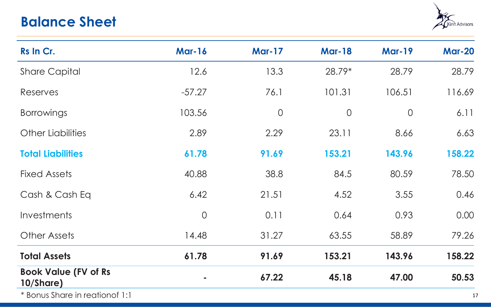

| Rs In Cr.               | <b>Mar-16</b> | <b>Mar-17</b> | <b>Mar-18</b> | <b>Mar-19</b> | <b>Mar-20</b> |
|-------------------------|---------------|---------------|---------------|---------------|---------------|
| <b>Sales</b>            | 61.75         | 104.31        | 206.03        | 152.71        | 98.18         |
| <b>Expenses</b>         | 53.99         | 87.25         | 175.97        | 127.16        | 87.41         |
| <b>Operating Profit</b> | 7.76          | 17.06         | 30.06         | 25.55         | 10.77         |
| OPM <sub>%</sub>        | 12.57%        | 16.36%        | 14.59%        | 16.73%        | 10.97%        |
| Other Income            | 2.74          | 0.06          | 0.04          | $-15.1$       | 1.18          |
| Interest                | 0.18          | 0.18          | 0.21          | 0.13          | 1.34          |
| Depreciation            | 3.21          | 2.69          | 3.25          | 4.54          | 4.71          |
| Profit before tax       | 7.11          | 14.25         | 26.64         | 5.78          | 11.95         |
| <b>Net Profit</b>       | 7.1           | 14.25         | 26.64         | 5.78          | 10.18         |
| EPS in Rs               | 2.82          | 5.36          | 9.25          | 2.01          | 3.54          |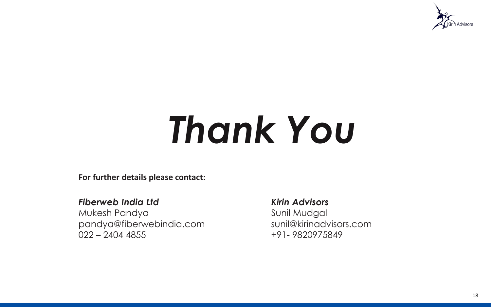## **Balance Sheet**



| Rs In Cr.                                | <b>Mar-16</b>  | <b>Mar-17</b>  | <b>Mar-18</b>  | <b>Mar-19</b>  | <b>Mar-20</b> |
|------------------------------------------|----------------|----------------|----------------|----------------|---------------|
| <b>Share Capital</b>                     | 12.6           | 13.3           | 28.79*         | 28.79          | 28.79         |
| <b>Reserves</b>                          | $-57.27$       | 76.1           | 101.31         | 106.51         | 116.69        |
| <b>Borrowings</b>                        | 103.56         | $\overline{O}$ | $\overline{0}$ | $\overline{0}$ | 6.11          |
| <b>Other Liabilities</b>                 | 2.89           | 2.29           | 23.11          | 8.66           | 6.63          |
| <b>Total Liabilities</b>                 | 61.78          | 91.69          | 153.21         | 143.96         | 158.22        |
| <b>Fixed Assets</b>                      | 40.88          | 38.8           | 84.5           | 80.59          | 78.50         |
| Cash & Cash Eq                           | 6.42           | 21.51          | 4.52           | 3.55           | 0.46          |
| Investments                              | $\overline{0}$ | 0.11           | 0.64           | 0.93           | 0.00          |
| <b>Other Assets</b>                      | 14.48          | 31.27          | 63.55          | 58.89          | 79.26         |
| <b>Total Assets</b>                      | 61.78          | 91.69          | 153.21         | 143.96         | 158.22        |
| <b>Book Value (FV of Rs</b><br>10/Share) |                | 67.22          | 45.18          | 47.00          | 50.53         |
| * Bonus Share in reation of 1:1          |                |                |                |                | $\mathbf{1}$  |

17